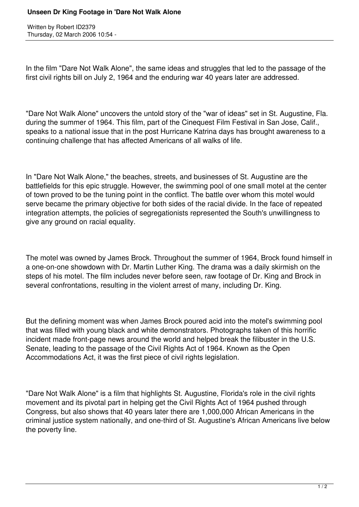Written by Robert ID2379 Thursday, 02 March 2006 10:54 -

In the film "Dare Not Walk Alone", the same ideas and struggles that led to the passage of the first civil rights bill on July 2, 1964 and the enduring war 40 years later are addressed.

"Dare Not Walk Alone" uncovers the untold story of the "war of ideas" set in St. Augustine, Fla. during the summer of 1964. This film, part of the Cinequest Film Festival in San Jose, Calif., speaks to a national issue that in the post Hurricane Katrina days has brought awareness to a continuing challenge that has affected Americans of all walks of life.

In "Dare Not Walk Alone," the beaches, streets, and businesses of St. Augustine are the battlefields for this epic struggle. However, the swimming pool of one small motel at the center of town proved to be the tuning point in the conflict. The battle over whom this motel would serve became the primary objective for both sides of the racial divide. In the face of repeated integration attempts, the policies of segregationists represented the South's unwillingness to give any ground on racial equality.

The motel was owned by James Brock. Throughout the summer of 1964, Brock found himself in a one-on-one showdown with Dr. Martin Luther King. The drama was a daily skirmish on the steps of his motel. The film includes never before seen, raw footage of Dr. King and Brock in several confrontations, resulting in the violent arrest of many, including Dr. King.

But the defining moment was when James Brock poured acid into the motel's swimming pool that was filled with young black and white demonstrators. Photographs taken of this horrific incident made front-page news around the world and helped break the filibuster in the U.S. Senate, leading to the passage of the Civil Rights Act of 1964. Known as the Open Accommodations Act, it was the first piece of civil rights legislation.

"Dare Not Walk Alone" is a film that highlights St. Augustine, Florida's role in the civil rights movement and its pivotal part in helping get the Civil Rights Act of 1964 pushed through Congress, but also shows that 40 years later there are 1,000,000 African Americans in the criminal justice system nationally, and one-third of St. Augustine's African Americans live below the poverty line.